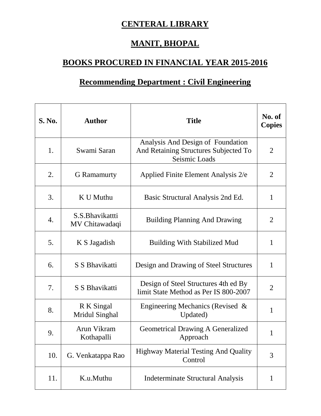## **CENTERAL LIBRARY**

## **MANIT, BHOPAL**

## **BOOKS PROCURED IN FINANCIAL YEAR 2015-2016**

## **Recommending Department : Civil Engineering**

| <b>S. No.</b> | <b>Author</b>                      | <b>Title</b>                                                                                | No. of<br><b>Copies</b> |
|---------------|------------------------------------|---------------------------------------------------------------------------------------------|-------------------------|
| 1.            | Swami Saran                        | Analysis And Design of Foundation<br>And Retaining Structures Subjected To<br>Seismic Loads | $\overline{2}$          |
| 2.            | <b>G</b> Ramamurty                 | Applied Finite Element Analysis 2/e                                                         | $\overline{2}$          |
| 3.            | K U Muthu                          | Basic Structural Analysis 2nd Ed.                                                           | $\mathbf{1}$            |
| 4.            | S.S. Bhavikattti<br>MV Chitawadaqi | <b>Building Planning And Drawing</b>                                                        | $\overline{2}$          |
| 5.            | K S Jagadish                       | <b>Building With Stabilized Mud</b>                                                         | $\mathbf{1}$            |
| 6.            | S S Bhavikatti                     | Design and Drawing of Steel Structures                                                      | $\mathbf{1}$            |
| 7.            | S S Bhavikatti                     | Design of Steel Structures 4th ed By<br>limit State Method as Per IS 800-2007               | $\overline{2}$          |
| 8.            | R K Singal<br>Mridul Singhal       | Engineering Mechanics (Revised &<br>Updated)                                                | 1                       |
| 9.            | Arun Vikram<br>Kothapalli          | <b>Geometrical Drawing A Generalized</b><br>Approach                                        | 1                       |
| 10.           | G. Venkatappa Rao                  | <b>Highway Material Testing And Quality</b><br>Control                                      | 3                       |
| 11.           | K.u.Muthu                          | <b>Indeterminate Structural Analysis</b>                                                    | $\mathbf 1$             |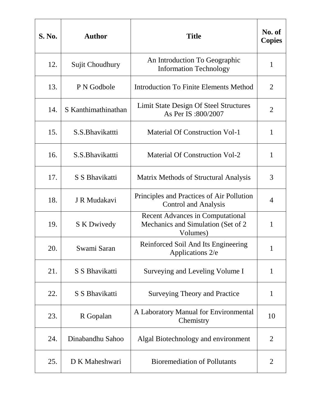| <b>S. No.</b> | <b>Author</b>       | <b>Title</b>                                                                               | No. of<br><b>Copies</b> |
|---------------|---------------------|--------------------------------------------------------------------------------------------|-------------------------|
| 12.           | Sujit Choudhury     | An Introduction To Geographic<br><b>Information Technology</b>                             | $\mathbf{1}$            |
| 13.           | P N Godbole         | <b>Introduction To Finite Elements Method</b>                                              | $\overline{2}$          |
| 14.           | S Kanthimathinathan | Limit State Design Of Steel Structures<br>As Per IS:800/2007                               | $\overline{2}$          |
| 15.           | S.S. Bhavikattti    | <b>Material Of Construction Vol-1</b>                                                      | $\mathbf{1}$            |
| 16.           | S.S. Bhavikattti    | <b>Material Of Construction Vol-2</b>                                                      | $\mathbf{1}$            |
| 17.           | S S Bhavikatti      | Matrix Methods of Structural Analysis                                                      | 3                       |
| 18.           | J R Mudakavi        | Principles and Practices of Air Pollution<br><b>Control and Analysis</b>                   | 4                       |
| 19.           | <b>S</b> K Dwivedy  | <b>Recent Advances in Computational</b><br>Mechanics and Simulation (Set of 2)<br>Volumes) | 1                       |
| 20.           | Swami Saran         | Reinforced Soil And Its Engineering<br>Applications 2/e                                    | 1                       |
| 21.           | S S Bhavikatti      | Surveying and Leveling Volume I                                                            | $\mathbf{1}$            |
| 22.           | S S Bhavikatti      | <b>Surveying Theory and Practice</b>                                                       | $\mathbf{1}$            |
| 23.           | R Gopalan           | A Laboratory Manual for Environmental<br>Chemistry                                         | 10                      |
| 24.           | Dinabandhu Sahoo    | Algal Biotechnology and environment                                                        | $\overline{2}$          |
| 25.           | D K Maheshwari      | <b>Bioremediation of Pollutants</b>                                                        | 2                       |